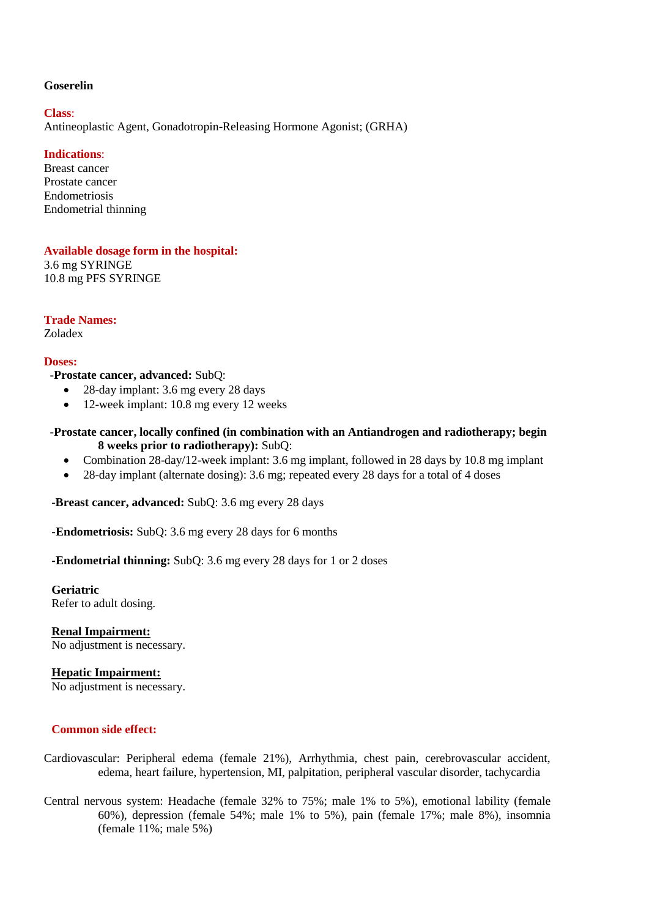### **Goserelin**

#### **Class**:

Antineoplastic Agent, Gonadotropin-Releasing Hormone Agonist; (GRHA)

# **Indications**:

Breast cancer Prostate cancer Endometriosis Endometrial thinning

### **Available dosage form in the hospital:**

3.6 mg SYRINGE 10.8 mg PFS SYRINGE

**Trade Names:**

Zoladex

# **Doses:**

 **-Prostate cancer, advanced:** SubQ:

- 28-day implant: 3.6 mg every 28 days
- 12-week implant: 10.8 mg every 12 weeks

# **-Prostate cancer, locally confined (in combination with an Antiandrogen and radiotherapy; begin 8 weeks prior to radiotherapy):** SubQ:

- Combination 28-day/12-week implant: 3.6 mg implant, followed in 28 days by 10.8 mg implant
- 28-day implant (alternate dosing): 3.6 mg; repeated every 28 days for a total of 4 doses

-**Breast cancer, advanced:** SubQ: 3.6 mg every 28 days

**-Endometriosis:** SubQ: 3.6 mg every 28 days for 6 months

**-Endometrial thinning:** SubQ: 3.6 mg every 28 days for 1 or 2 doses

**Geriatric** Refer to adult dosing.

**Renal Impairment:** No adjustment is necessary.

**Hepatic Impairment:**

No adjustment is necessary.

# **Common side effect:**

- Cardiovascular: Peripheral edema (female 21%), Arrhythmia, chest pain, cerebrovascular accident, edema, heart failure, hypertension, MI, palpitation, peripheral vascular disorder, tachycardia
- Central nervous system: Headache (female 32% to 75%; male 1% to 5%), emotional lability (female 60%), depression (female 54%; male 1% to 5%), pain (female 17%; male 8%), insomnia (female 11%; male 5%)